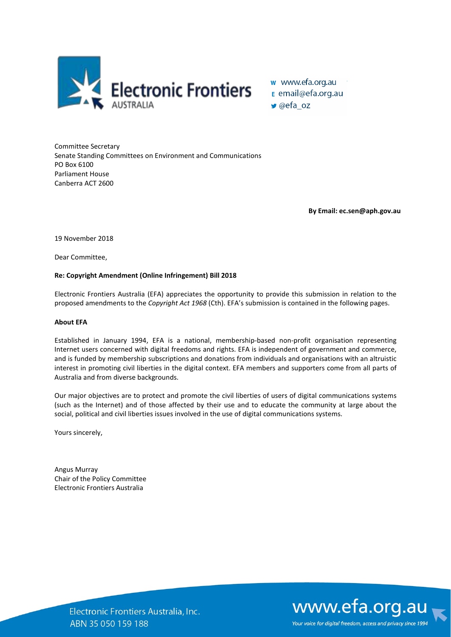

● @efa\_oz

Committee Secretary Senate Standing Committees on Environment and Communications PO Box 6100 Parliament House Canberra ACT 2600

**By Email: ec.sen@aph.gov.au**

19 November 2018

Dear Committee,

## **Re: Copyright Amendment (Online Infringement) Bill 2018**

Electronic Frontiers Australia (EFA) appreciates the opportunity to provide this submission in relation to the proposed amendments to the *Copyright Act 1968* (Cth). EFA's submission is contained in the following pages.

## **About EFA**

Established in January 1994, EFA is a national, membership-based non-profit organisation representing Internet users concerned with digital freedoms and rights. EFA is independent of government and commerce, and is funded by membership subscriptions and donations from individuals and organisations with an altruistic interest in promoting civil liberties in the digital context. EFA members and supporters come from all parts of Australia and from diverse backgrounds.

Our major objectives are to protect and promote the civil liberties of users of digital communications systems (such as the Internet) and of those affected by their use and to educate the community at large about the social, political and civil liberties issues involved in the use of digital communications systems.

Yours sincerely,

Angus Murray Chair of the Policy Committee Electronic Frontiers Australia



Electronic Frontiers Australia, Inc. ABN 35 050 159 188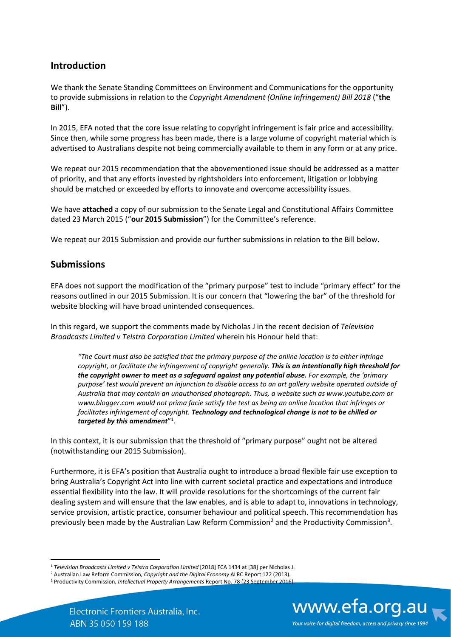## **Introduction**

We thank the Senate Standing Committees on Environment and Communications for the opportunity to provide submissions in relation to the *Copyright Amendment (Online Infringement) Bill 2018* ("**the Bill**").

In 2015, EFA noted that the core issue relating to copyright infringement is fair price and accessibility. Since then, while some progress has been made, there is a large volume of copyright material which is advertised to Australians despite not being commercially available to them in any form or at any price.

We repeat our 2015 recommendation that the abovementioned issue should be addressed as a matter of priority, and that any efforts invested by rightsholders into enforcement, litigation or lobbying should be matched or exceeded by efforts to innovate and overcome accessibility issues.

We have **attached** a copy of our submission to the Senate Legal and Constitutional Affairs Committee dated 23 March 2015 ("**our 2015 Submission**") for the Committee's reference.

We repeat our 2015 Submission and provide our further submissions in relation to the Bill below.

## **Submissions**

EFA does not support the modification of the "primary purpose" test to include "primary effect" for the reasons outlined in our 2015 Submission. It is our concern that "lowering the bar" of the threshold for website blocking will have broad unintended consequences.

In this regard, we support the comments made by Nicholas J in the recent decision of *Television Broadcasts Limited v Telstra Corporation Limited* wherein his Honour held that:

*"The Court must also be satisfied that the primary purpose of the online location is to either infringe copyright, or facilitate the infringement of copyright generally. This is an intentionally high threshold for the copyright owner to meet as a safeguard against any potential abuse. For example, the 'primary purpose' test would prevent an injunction to disable access to an art gallery website operated outside of Australia that may contain an unauthorised photograph. Thus, a website such as www.youtube.com or www.blogger.com would not prima facie satisfy the test as being an online location that infringes or facilitates infringement of copyright. Technology and technological change is not to be chilled or targeted by this amendment*"[1](#page-1-0) .

In this context, it is our submission that the threshold of "primary purpose" ought not be altered (notwithstanding our 2015 Submission).

Furthermore, it is EFA's position that Australia ought to introduce a broad flexible fair use exception to bring Australia's Copyright Act into line with current societal practice and expectations and introduce essential flexibility into the law. It will provide resolutions for the shortcomings of the current fair dealing system and will ensure that the law enables, and is able to adapt to, innovations in technology, service provision, artistic practice, consumer behaviour and political speech. This recommendation has previously been made by the Australian Law Reform Commission<sup>[2](#page-1-1)</sup> and the Productivity Commission<sup>[3](#page-1-2)</sup>.

www.efa.org.au Your voice for digital freedom, access and privacy since 1994

<span id="page-1-0"></span><sup>&</sup>lt;sup>1</sup> Television Broadcasts Limited v Telstra Corporation Limited [2018] FCA 1434 at [38] per Nicholas J.

<span id="page-1-2"></span><span id="page-1-1"></span><sup>&</sup>lt;sup>2</sup> Australian Law Reform Commission, *Copyright and the Digital Economy* ALRC Report 122 (2013).<br><sup>3</sup> Productivity Commission, *Intellectual Property Arrangements* Report No. 78 (23 September 2016